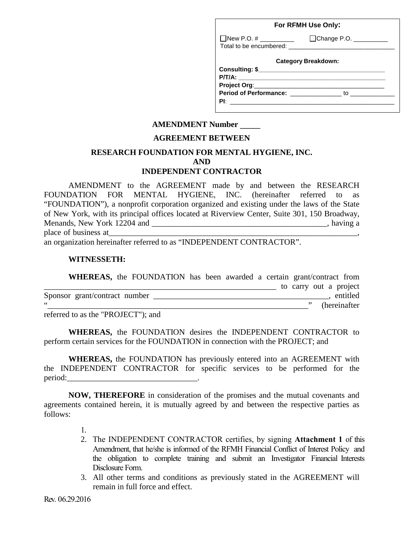| For RFMH Use Only:                   |                                |  |  |  |  |
|--------------------------------------|--------------------------------|--|--|--|--|
| ■ New P.O. # <u>_________</u>        | Change P.O. __________         |  |  |  |  |
|                                      | <b>Category Breakdown:</b>     |  |  |  |  |
|                                      |                                |  |  |  |  |
|                                      |                                |  |  |  |  |
| Period of Performance: _____________ | to $\overline{\qquad \qquad }$ |  |  |  |  |
|                                      |                                |  |  |  |  |
|                                      |                                |  |  |  |  |

## **AMENDMENT Number \_\_\_\_\_**

### **AGREEMENT BETWEEN**

### **RESEARCH FOUNDATION FOR MENTAL HYGIENE, INC. AND INDEPENDENT CONTRACTOR**

AMENDMENT to the AGREEMENT made by and between the RESEARCH FOUNDATION FOR MENTAL HYGIENE, INC. (hereinafter referred to as "FOUNDATION"), a nonprofit corporation organized and existing under the laws of the State of New York, with its principal offices located at Riverview Center, Suite 301, 150 Broadway, Menands, New York 12204 and  $\blacksquare$ , having a place of business at

an organization hereinafter referred to as "INDEPENDENT CONTRACTOR".

#### **WITNESSETH:**

| <b>WHEREAS,</b> the FOUNDATION has been awarded a certain grant/contract from |  |  |                        |  |               |
|-------------------------------------------------------------------------------|--|--|------------------------|--|---------------|
|                                                                               |  |  | to carry out a project |  |               |
| Sponsor grant/contract number                                                 |  |  |                        |  | entitled      |
|                                                                               |  |  |                        |  | (hereinafter) |

referred to as the "PROJECT"); and

**WHEREAS,** the FOUNDATION desires the INDEPENDENT CONTRACTOR to perform certain services for the FOUNDATION in connection with the PROJECT; and

**WHEREAS,** the FOUNDATION has previously entered into an AGREEMENT with the INDEPENDENT CONTRACTOR for specific services to be performed for the period:

**NOW, THEREFORE** in consideration of the promises and the mutual covenants and agreements contained herein, it is mutually agreed by and between the respective parties as follows:

- 1.
- 2. The INDEPENDENT CONTRACTOR certifies, by signing **Attachment 1** of this Amendment, that he/she is informed of the RFMH Financial Conflict of Interest Policy and the obligation to complete training and submit an Investigator Financial Interests Disclosure Form.
- 3. All other terms and conditions as previously stated in the AGREEMENT will remain in full force and effect.

Rev. 06.29.2016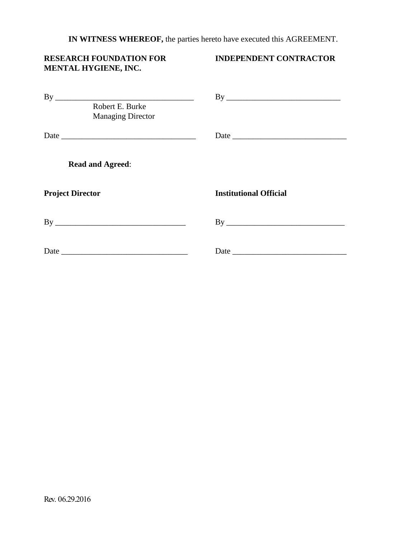**IN WITNESS WHEREOF,** the parties hereto have executed this AGREEMENT.

# **RESEARCH FOUNDATION FOR INDEPENDENT CONTRACTOR MENTAL HYGIENE, INC.**

|                         | Robert E. Burke<br><b>Managing Director</b> |                               |
|-------------------------|---------------------------------------------|-------------------------------|
|                         |                                             |                               |
|                         | <b>Read and Agreed:</b>                     |                               |
| <b>Project Director</b> |                                             | <b>Institutional Official</b> |
|                         |                                             |                               |
|                         |                                             |                               |